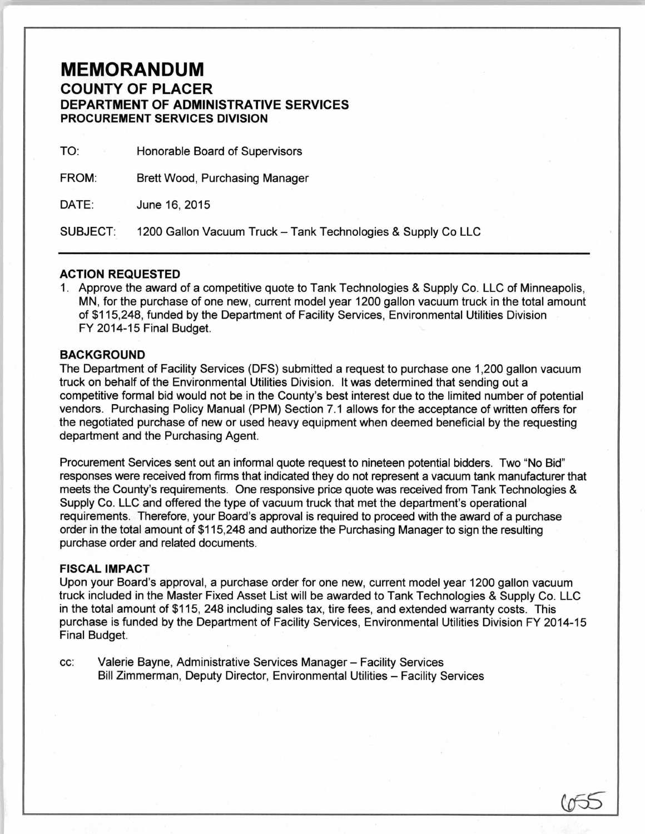## **MEMORANDUM**  COUNTY OF PLACER DEPARTMENT OF ADMINISTRATIVE SERVICES PROCUREMENT SERVICES DIVISION

TO: Honorable Board of Supervisors

FROM: Brett Wood, Purchasing Manager

DATE: June 16, 2015

SUBJECT: 1200 Gallon Vacuum Truck- Tank Technologies & Supply Co LLC

## ACTION REQUESTED

1. Approve the award of a competitive quote to Tank Technologies & Supply Co. LLC of Minneapolis, MN, for the purchase of one new, current model year 1200 gallon vacuum truck in the total amount of \$115,248, funded by the Department of Facility Services, Environmental Utilities Division FY 2014-15 Final Budget.

## BACKGROUND

The Department of Facility Services (DFS) submitted a request to purchase one 1,200 gallon vacuum truck on behalf of the Environmental Utilities Division. It was determined that sending out a competitive formal bid would not be in the County's best interest due to the limited number of potential vendors. Purchasing Policy Manual (PPM) Section 7.1 allows for the acceptance of written offers for the negotiated purchase of new or used heavy equipment when deemed beneficial by the requesting department and the Purchasing Agent.

Procurement Services sent out an informal quote request to nineteen potential bidders. Two "No Bid" responses were received from firms that indicated they do not represent a vacuum tank manufacturer that meets the County's requirements. One responsive price quote was received from Tank Technologies & Supply Co. LLC and offered the type of vacuum truck that met the department's operational requirements. Therefore, your Board's approval is required to proceed with the award of a purchase order in the total amount of \$115,248 and authorize the Purchasing Manager to sign the resulting purchase order and related documents.

## FISCAL IMPACT

Upon your Board's approval, a purchase order for one new, current model year 1200 gallon vacuum truck included in the Master Fixed Asset List will be awarded to Tank Technologies & Supply Co. LLC in the total amount of \$115, 248 including sales tax, tire fees, and extended warranty costs. This purchase is funded by the Department of Facility Services, Environmental Utilities Division FY 2014-15 Final Budget.

cc: Valerie Bayne, Administrative Services Manager - Facility Services Bill Zimmerman, Deputy Director, Environmental Utilities - Facility Services